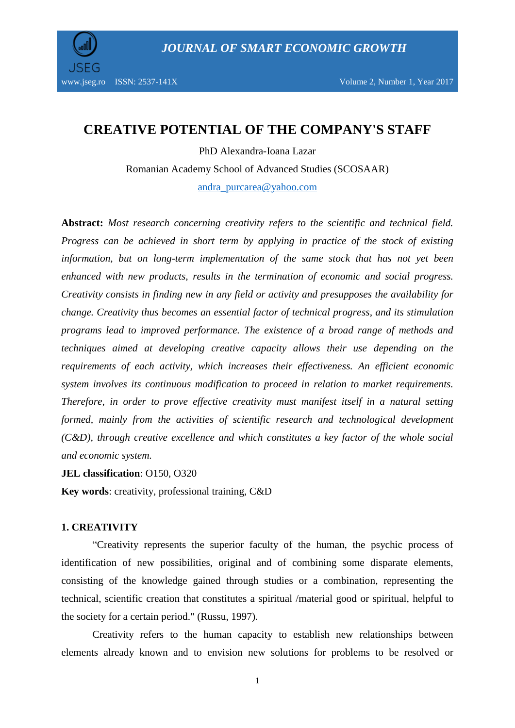

# **CREATIVE POTENTIAL OF THE COMPANY'S STAFF**

PhD Alexandra-Ioana Lazar Romanian Academy School of Advanced Studies (SCOSAAR) [andra\\_purcarea@yahoo.com](mailto:andra_purcarea@yahoo.com)

**Abstract:** *Most research concerning creativity refers to the scientific and technical field. Progress can be achieved in short term by applying in practice of the stock of existing information, but on long-term implementation of the same stock that has not yet been enhanced with new products, results in the termination of economic and social progress. Creativity consists in finding new in any field or activity and presupposes the availability for change. Creativity thus becomes an essential factor of technical progress, and its stimulation programs lead to improved performance. The existence of a broad range of methods and techniques aimed at developing creative capacity allows their use depending on the requirements of each activity, which increases their effectiveness. An efficient economic system involves its continuous modification to proceed in relation to market requirements. Therefore, in order to prove effective creativity must manifest itself in a natural setting formed, mainly from the activities of scientific research and technological development (C&D), through creative excellence and which constitutes a key factor of the whole social and economic system.*

**JEL classification**: O150, O320

**Key words**: creativity, professional training, C&D

### **1. CREATIVITY**

"Creativity represents the superior faculty of the human, the psychic process of identification of new possibilities, original and of combining some disparate elements, consisting of the knowledge gained through studies or a combination, representing the technical, scientific creation that constitutes a spiritual /material good or spiritual, helpful to the society for a certain period." (Russu, 1997).

Creativity refers to the human capacity to establish new relationships between elements already known and to envision new solutions for problems to be resolved or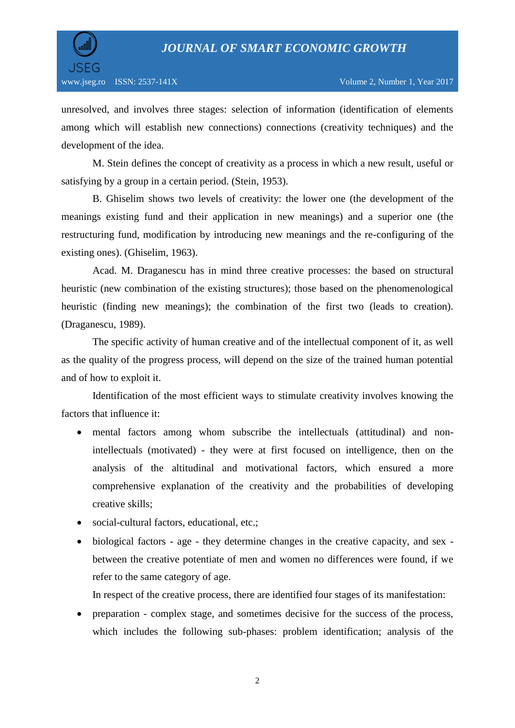

unresolved, and involves three stages: selection of information (identification of elements among which will establish new connections) connections (creativity techniques) and the development of the idea.

M. Stein defines the concept of creativity as a process in which a new result, useful or satisfying by a group in a certain period. (Stein, 1953).

B. Ghiselim shows two levels of creativity: the lower one (the development of the meanings existing fund and their application in new meanings) and a superior one (the restructuring fund, modification by introducing new meanings and the re-configuring of the existing ones). (Ghiselim, 1963).

Acad. M. Draganescu has in mind three creative processes: the based on structural heuristic (new combination of the existing structures); those based on the phenomenological heuristic (finding new meanings); the combination of the first two (leads to creation). (Draganescu, 1989).

The specific activity of human creative and of the intellectual component of it, as well as the quality of the progress process, will depend on the size of the trained human potential and of how to exploit it.

Identification of the most efficient ways to stimulate creativity involves knowing the factors that influence it:

- mental factors among whom subscribe the intellectuals (attitudinal) and nonintellectuals (motivated) - they were at first focused on intelligence, then on the analysis of the altitudinal and motivational factors, which ensured a more comprehensive explanation of the creativity and the probabilities of developing creative skills;
- social-cultural factors, educational, etc.;
- biological factors age they determine changes in the creative capacity, and sex between the creative potentiate of men and women no differences were found, if we refer to the same category of age.

In respect of the creative process, there are identified four stages of its manifestation:

 preparation - complex stage, and sometimes decisive for the success of the process, which includes the following sub-phases: problem identification; analysis of the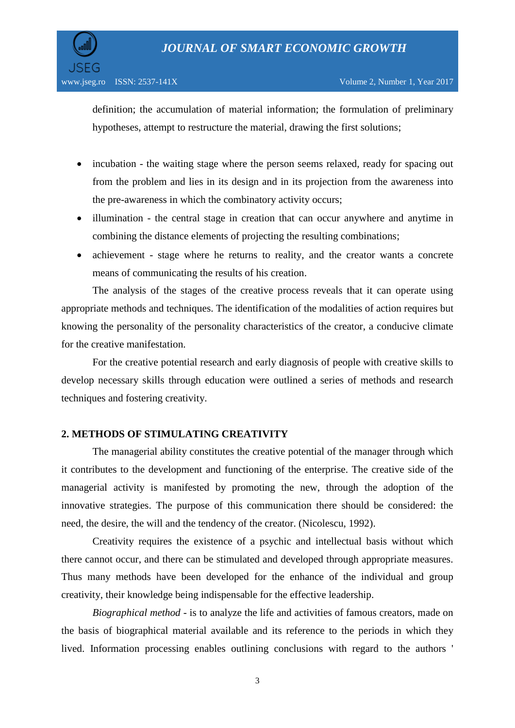

definition; the accumulation of material information; the formulation of preliminary hypotheses, attempt to restructure the material, drawing the first solutions;

- incubation the waiting stage where the person seems relaxed, ready for spacing out from the problem and lies in its design and in its projection from the awareness into the pre-awareness in which the combinatory activity occurs;
- illumination the central stage in creation that can occur anywhere and anytime in combining the distance elements of projecting the resulting combinations;
- achievement stage where he returns to reality, and the creator wants a concrete means of communicating the results of his creation.

The analysis of the stages of the creative process reveals that it can operate using appropriate methods and techniques. The identification of the modalities of action requires but knowing the personality of the personality characteristics of the creator, a conducive climate for the creative manifestation.

For the creative potential research and early diagnosis of people with creative skills to develop necessary skills through education were outlined a series of methods and research techniques and fostering creativity.

## **2. METHODS OF STIMULATING CREATIVITY**

The managerial ability constitutes the creative potential of the manager through which it contributes to the development and functioning of the enterprise. The creative side of the managerial activity is manifested by promoting the new, through the adoption of the innovative strategies. The purpose of this communication there should be considered: the need, the desire, the will and the tendency of the creator. (Nicolescu, 1992).

Creativity requires the existence of a psychic and intellectual basis without which there cannot occur, and there can be stimulated and developed through appropriate measures. Thus many methods have been developed for the enhance of the individual and group creativity, their knowledge being indispensable for the effective leadership.

*Biographical method* - is to analyze the life and activities of famous creators, made on the basis of biographical material available and its reference to the periods in which they lived. Information processing enables outlining conclusions with regard to the authors '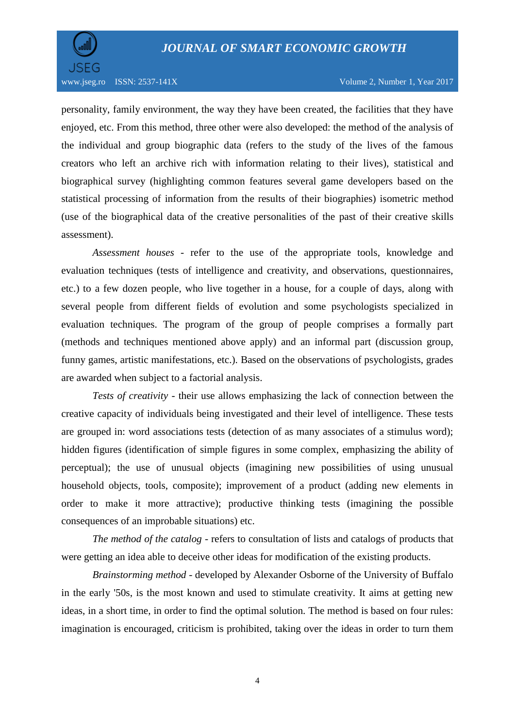

personality, family environment, the way they have been created, the facilities that they have enjoyed, etc. From this method, three other were also developed: the method of the analysis of the individual and group biographic data (refers to the study of the lives of the famous creators who left an archive rich with information relating to their lives), statistical and biographical survey (highlighting common features several game developers based on the statistical processing of information from the results of their biographies) isometric method (use of the biographical data of the creative personalities of the past of their creative skills assessment).

*Assessment houses* - refer to the use of the appropriate tools, knowledge and evaluation techniques (tests of intelligence and creativity, and observations, questionnaires, etc.) to a few dozen people, who live together in a house, for a couple of days, along with several people from different fields of evolution and some psychologists specialized in evaluation techniques. The program of the group of people comprises a formally part (methods and techniques mentioned above apply) and an informal part (discussion group, funny games, artistic manifestations, etc.). Based on the observations of psychologists, grades are awarded when subject to a factorial analysis.

*Tests of creativity* - their use allows emphasizing the lack of connection between the creative capacity of individuals being investigated and their level of intelligence. These tests are grouped in: word associations tests (detection of as many associates of a stimulus word); hidden figures (identification of simple figures in some complex, emphasizing the ability of perceptual); the use of unusual objects (imagining new possibilities of using unusual household objects, tools, composite); improvement of a product (adding new elements in order to make it more attractive); productive thinking tests (imagining the possible consequences of an improbable situations) etc.

*The method of the catalog* - refers to consultation of lists and catalogs of products that were getting an idea able to deceive other ideas for modification of the existing products.

*Brainstorming method* - developed by Alexander Osborne of the University of Buffalo in the early '50s, is the most known and used to stimulate creativity. It aims at getting new ideas, in a short time, in order to find the optimal solution. The method is based on four rules: imagination is encouraged, criticism is prohibited, taking over the ideas in order to turn them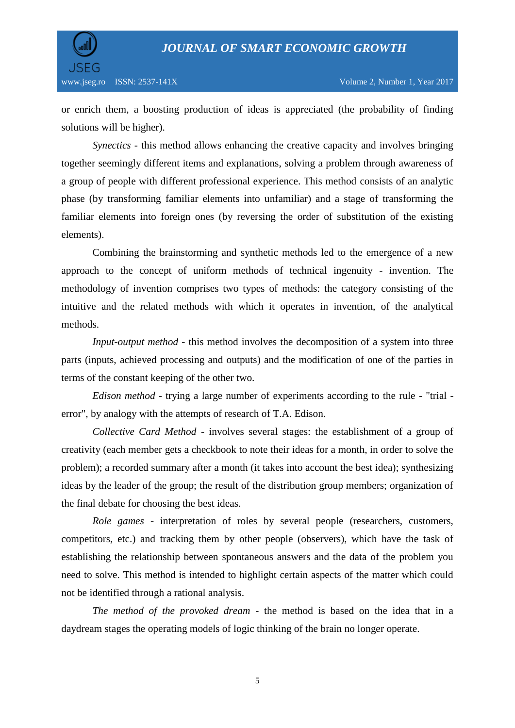

or enrich them, a boosting production of ideas is appreciated (the probability of finding solutions will be higher).

*Synectics* - this method allows enhancing the creative capacity and involves bringing together seemingly different items and explanations, solving a problem through awareness of a group of people with different professional experience. This method consists of an analytic phase (by transforming familiar elements into unfamiliar) and a stage of transforming the familiar elements into foreign ones (by reversing the order of substitution of the existing elements).

Combining the brainstorming and synthetic methods led to the emergence of a new approach to the concept of uniform methods of technical ingenuity - invention. The methodology of invention comprises two types of methods: the category consisting of the intuitive and the related methods with which it operates in invention, of the analytical methods.

*Input-output method* - this method involves the decomposition of a system into three parts (inputs, achieved processing and outputs) and the modification of one of the parties in terms of the constant keeping of the other two.

*Edison method* - trying a large number of experiments according to the rule - "trial error", by analogy with the attempts of research of T.A. Edison.

*Collective Card Method* - involves several stages: the establishment of a group of creativity (each member gets a checkbook to note their ideas for a month, in order to solve the problem); a recorded summary after a month (it takes into account the best idea); synthesizing ideas by the leader of the group; the result of the distribution group members; organization of the final debate for choosing the best ideas.

*Role games* - interpretation of roles by several people (researchers, customers, competitors, etc.) and tracking them by other people (observers), which have the task of establishing the relationship between spontaneous answers and the data of the problem you need to solve. This method is intended to highlight certain aspects of the matter which could not be identified through a rational analysis.

*The method of the provoked dream* - the method is based on the idea that in a daydream stages the operating models of logic thinking of the brain no longer operate.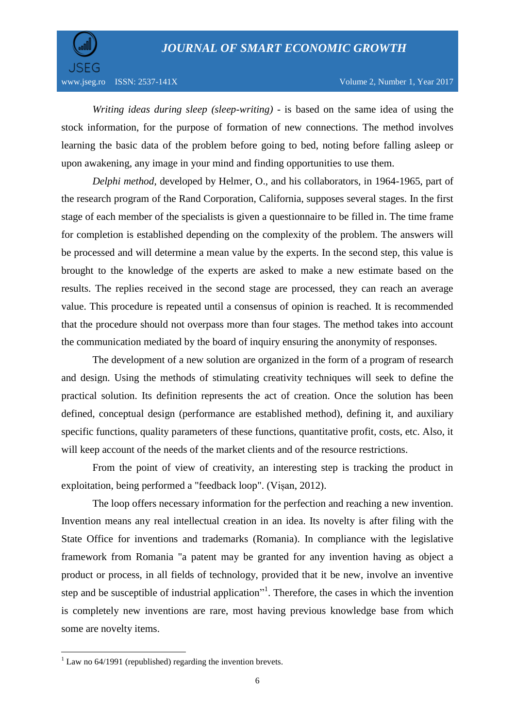

*Writing ideas during sleep (sleep-writing)* - is based on the same idea of using the stock information, for the purpose of formation of new connections. The method involves learning the basic data of the problem before going to bed, noting before falling asleep or upon awakening, any image in your mind and finding opportunities to use them.

*Delphi method*, developed by Helmer, O., and his collaborators, in 1964-1965, part of the research program of the Rand Corporation, California, supposes several stages. In the first stage of each member of the specialists is given a questionnaire to be filled in. The time frame for completion is established depending on the complexity of the problem. The answers will be processed and will determine a mean value by the experts. In the second step, this value is brought to the knowledge of the experts are asked to make a new estimate based on the results. The replies received in the second stage are processed, they can reach an average value. This procedure is repeated until a consensus of opinion is reached. It is recommended that the procedure should not overpass more than four stages. The method takes into account the communication mediated by the board of inquiry ensuring the anonymity of responses.

The development of a new solution are organized in the form of a program of research and design. Using the methods of stimulating creativity techniques will seek to define the practical solution. Its definition represents the act of creation. Once the solution has been defined, conceptual design (performance are established method), defining it, and auxiliary specific functions, quality parameters of these functions, quantitative profit, costs, etc. Also, it will keep account of the needs of the market clients and of the resource restrictions.

From the point of view of creativity, an interesting step is tracking the product in exploitation, being performed a "feedback loop". (Vișan, 2012).

The loop offers necessary information for the perfection and reaching a new invention. Invention means any real intellectual creation in an idea. Its novelty is after filing with the State Office for inventions and trademarks (Romania). In compliance with the legislative framework from Romania "a patent may be granted for any invention having as object a product or process, in all fields of technology, provided that it be new, involve an inventive step and be susceptible of industrial application<sup>"1</sup>. Therefore, the cases in which the invention is completely new inventions are rare, most having previous knowledge base from which some are novelty items.

 $\overline{\phantom{a}}$ 

 $1$  Law no 64/1991 (republished) regarding the invention brevets.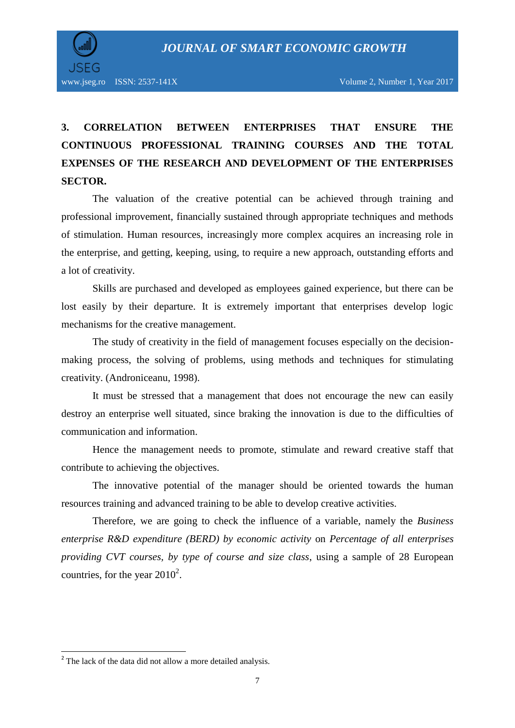

# **3. CORRELATION BETWEEN ENTERPRISES THAT ENSURE THE CONTINUOUS PROFESSIONAL TRAINING COURSES AND THE TOTAL EXPENSES OF THE RESEARCH AND DEVELOPMENT OF THE ENTERPRISES SECTOR.**

The valuation of the creative potential can be achieved through training and professional improvement, financially sustained through appropriate techniques and methods of stimulation. Human resources, increasingly more complex acquires an increasing role in the enterprise, and getting, keeping, using, to require a new approach, outstanding efforts and a lot of creativity.

Skills are purchased and developed as employees gained experience, but there can be lost easily by their departure. It is extremely important that enterprises develop logic mechanisms for the creative management.

The study of creativity in the field of management focuses especially on the decisionmaking process, the solving of problems, using methods and techniques for stimulating creativity. (Androniceanu, 1998).

It must be stressed that a management that does not encourage the new can easily destroy an enterprise well situated, since braking the innovation is due to the difficulties of communication and information.

Hence the management needs to promote, stimulate and reward creative staff that contribute to achieving the objectives.

The innovative potential of the manager should be oriented towards the human resources training and advanced training to be able to develop creative activities.

Therefore, we are going to check the influence of a variable, namely the *Business enterprise R&D expenditure (BERD) by economic activity* on *Percentage of all enterprises providing CVT courses, by type of course and size class*, using a sample of 28 European countries, for the year  $2010^2$ .

<sup>&</sup>lt;sup>2</sup> The lack of the data did not allow a more detailed analysis.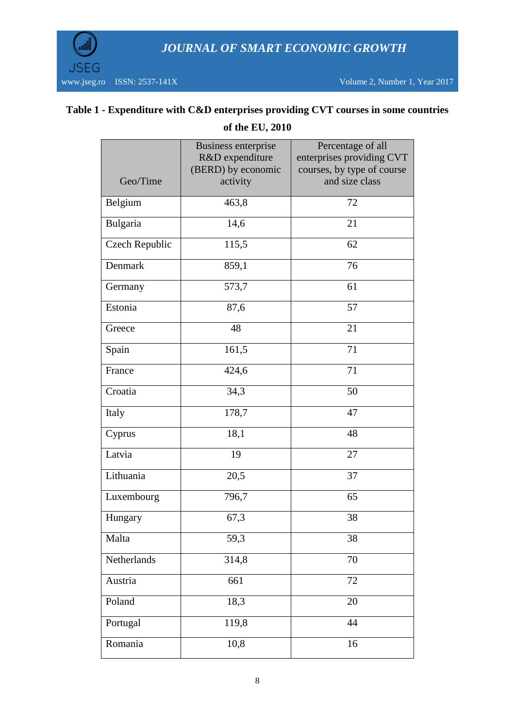

## **Table 1 - Expenditure with C&D enterprises providing CVT courses in some countries**

| Geo/Time       | <b>Business enterprise</b><br>R&D expenditure<br>(BERD) by economic<br>activity | Percentage of all<br>enterprises providing CVT<br>courses, by type of course<br>and size class |
|----------------|---------------------------------------------------------------------------------|------------------------------------------------------------------------------------------------|
| Belgium        | 463,8                                                                           | 72                                                                                             |
| Bulgaria       | 14,6                                                                            | 21                                                                                             |
| Czech Republic | 115,5                                                                           | 62                                                                                             |
| Denmark        | 859,1                                                                           | 76                                                                                             |
| Germany        | 573,7                                                                           | 61                                                                                             |
| Estonia        | 87,6                                                                            | 57                                                                                             |
| Greece         | 48                                                                              | 21                                                                                             |
| Spain          | 161,5                                                                           | 71                                                                                             |
| France         | 424,6                                                                           | 71                                                                                             |
| Croatia        | 34,3                                                                            | 50                                                                                             |
| Italy          | 178,7                                                                           | 47                                                                                             |
| Cyprus         | 18,1                                                                            | 48                                                                                             |
| Latvia         | 19                                                                              | 27                                                                                             |
| Lithuania      | 20,5                                                                            | 37                                                                                             |
| Luxembourg     | 796,7                                                                           | 65                                                                                             |
| Hungary        | 67,3                                                                            | 38                                                                                             |
| Malta          | 59,3                                                                            | 38                                                                                             |
| Netherlands    | 314,8                                                                           | 70                                                                                             |
| Austria        | 661                                                                             | 72                                                                                             |
| Poland         | 18,3                                                                            | 20                                                                                             |
| Portugal       | 119,8                                                                           | 44                                                                                             |
| Romania        | 10,8                                                                            | 16                                                                                             |

**of the EU, 2010**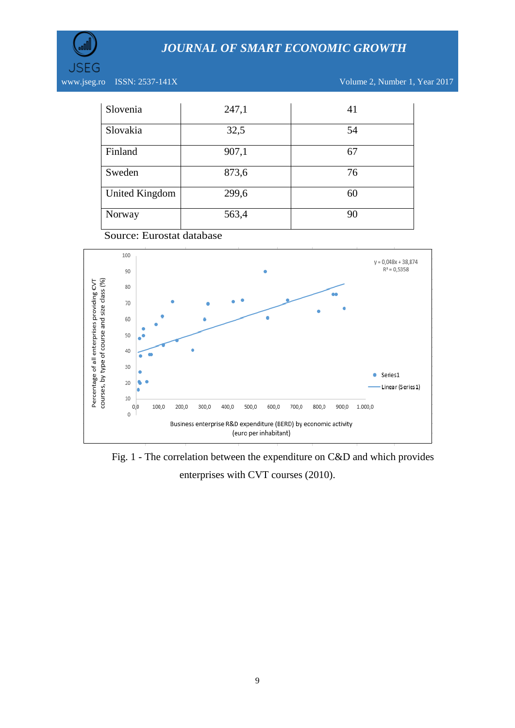

JSEG

www.jseg.ro ISSN: 2537-141X Volume 2, Number 1, Year 2017

| Slovenia              | 247,1 | 41 |
|-----------------------|-------|----|
| Slovakia              | 32,5  | 54 |
| Finland               | 907,1 | 67 |
| Sweden                | 873,6 | 76 |
| <b>United Kingdom</b> | 299,6 | 60 |
| Norway                | 563,4 | 90 |





Fig. 1 - The correlation between the expenditure on C&D and which provides enterprises with CVT courses (2010).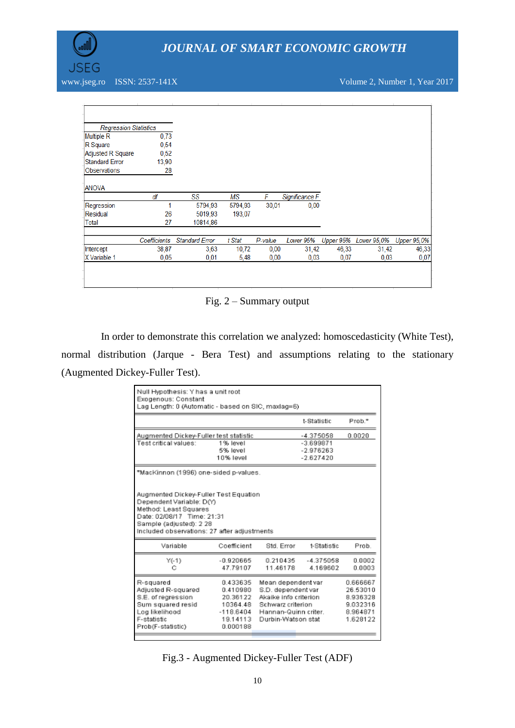

www.jseg.ro ISSN: 2537-141X Volume 2, Number 1, Year 2017

| <b>Regression Statistics</b> |              |                       |         |         |                |           |             |                    |
|------------------------------|--------------|-----------------------|---------|---------|----------------|-----------|-------------|--------------------|
| <b>Multiple R</b>            | 0,73         |                       |         |         |                |           |             |                    |
| R Square                     | 0,54         |                       |         |         |                |           |             |                    |
| Adjusted R Square            | 0,52         |                       |         |         |                |           |             |                    |
| <b>Standard Error</b>        | 13,90        |                       |         |         |                |           |             |                    |
| Observations                 | 28           |                       |         |         |                |           |             |                    |
| <b>ANOVA</b>                 |              |                       |         |         |                |           |             |                    |
|                              | df           | SS                    | МS      | F       | Significance F |           |             |                    |
| Regression                   |              | 5794,93               | 5794,93 | 30,01   | 0,00           |           |             |                    |
| Residual                     | 26           | 5019,93               | 193,07  |         |                |           |             |                    |
| Total                        | 27           | 10814.86              |         |         |                |           |             |                    |
|                              | Coefficients | <b>Standard Error</b> | t Stat  | P-value | Lower 95%      | Upper 95% | Lower 95,0% | <b>Upper 95,0%</b> |
| Intercept                    | 38,87        | 3,63                  | 10,72   | 0,00    | 31,42          | 46,33     | 31,42       | 46,33              |
| X Variable 1                 | 0.05         | 0,01                  | 5,48    | 0,00    | 0,03           | 0,07      | 0,03        | 0,07               |
|                              |              |                       |         |         |                |           |             |                    |
|                              |              |                       |         |         |                |           |             |                    |
|                              |              |                       |         |         |                |           |             |                    |

Fig. 2 – Summary output

In order to demonstrate this correlation we analyzed: homoscedasticity (White Test), normal distribution (Jarque - Bera Test) and assumptions relating to the stationary (Augmented Dickey-Fuller Test).

| Null Hypothesis: Y has a unit root<br>Exogenous: Constant<br>Lag Length: 0 (Automatic - based on SIC, maxlag=6)                                                                                                                             |                                                                                    |                                                                                                                                      |                                                        |                  |  |                                                                      |  |
|---------------------------------------------------------------------------------------------------------------------------------------------------------------------------------------------------------------------------------------------|------------------------------------------------------------------------------------|--------------------------------------------------------------------------------------------------------------------------------------|--------------------------------------------------------|------------------|--|----------------------------------------------------------------------|--|
|                                                                                                                                                                                                                                             |                                                                                    |                                                                                                                                      | t-Statistic                                            | Prob."           |  |                                                                      |  |
| Augmented Dickey-Fuller test statistic<br>Test critical values:<br>1% level<br>5% level<br>10% level                                                                                                                                        |                                                                                    |                                                                                                                                      | -4.375058<br>$-3.699871$<br>$-2.976263$<br>$-2.627420$ | 0.0020           |  |                                                                      |  |
| *MacKinnon (1996) one-sided p-values.<br>Augmented Dickey-Fuller Test Equation<br>Dependent Variable: D(Y)<br>Method: Least Squares<br>Date: 02/08/17 Time: 21:31<br>Sample (adjusted): 2 28<br>Included observations: 27 after adjustments |                                                                                    |                                                                                                                                      |                                                        |                  |  |                                                                      |  |
| Variable                                                                                                                                                                                                                                    | Coefficient                                                                        | Std. Error                                                                                                                           | t-Statistic                                            | Prob             |  |                                                                      |  |
| $Y(-1)$<br>с                                                                                                                                                                                                                                | $-0.920665$<br>47.79107                                                            | 0.210435<br>11.46178                                                                                                                 | $-4.375058$<br>4.169602                                | 0.0002<br>0.0003 |  |                                                                      |  |
| R-squared<br>Adjusted R-squared<br>S.E. of regression<br>Sum squared resid<br>Log likelihood<br>F-statistic<br>Prob(F-statistic)                                                                                                            | 0433635<br>0.410980<br>20.36122<br>10364.48<br>$-118.6404$<br>19.14113<br>0.000188 | Mean dependent var<br>S.D. dependent var<br>Akaike info criterion<br>Schwarz criterion<br>Hannan-Quinn criter.<br>Durbin-Watson stat |                                                        |                  |  | 0.666667<br>26.53010<br>8.936328<br>9.032316<br>8.964871<br>1.628122 |  |

Fig.3 - Augmented Dickey-Fuller Test (ADF)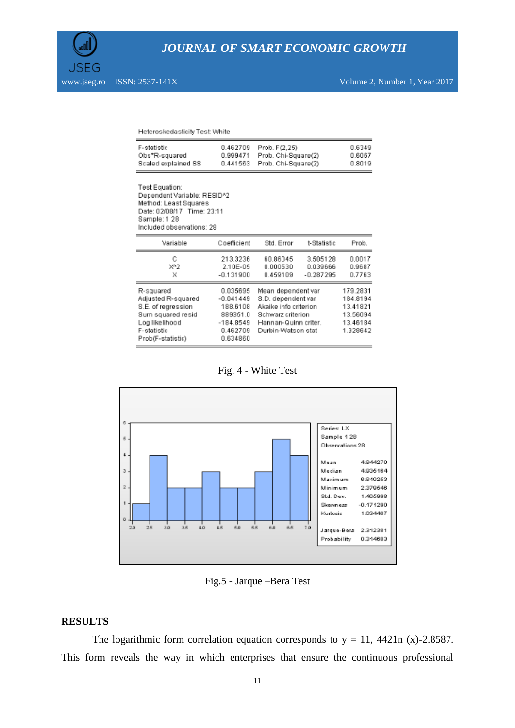www.jseg.ro ISSN: 2537-141X Volume 2, Number 1, Year 2017

| Heteroskedasticity Test: White                                                                                                                    |                                                                                        |                                                                                                                                      |                                     |                            |  |                                                                      |  |
|---------------------------------------------------------------------------------------------------------------------------------------------------|----------------------------------------------------------------------------------------|--------------------------------------------------------------------------------------------------------------------------------------|-------------------------------------|----------------------------|--|----------------------------------------------------------------------|--|
| F-statistic<br>Obs*R-squared<br>Scaled explained SS                                                                                               | 0.462709<br>0.999471<br>0.441563                                                       | Prob. F(2,25)<br>Prob. Chi-Square(2)<br>Prob. Chi-Square(2)                                                                          | 0.6349<br>0.6067<br>0.8019          |                            |  |                                                                      |  |
| Test Equation:<br>Dependent Variable: RESID^2<br>Method: Least Squares<br>Date: 02/08/17 Time: 23:11<br>Sample: 1 28<br>Included observations: 28 |                                                                                        |                                                                                                                                      |                                     |                            |  |                                                                      |  |
| Variable                                                                                                                                          | Coefficient                                                                            | Std. Error                                                                                                                           | t-Statistic                         | Prob.                      |  |                                                                      |  |
| Ĉ<br>X''2<br>X                                                                                                                                    | 213.3236<br>2.10E-05<br>$-0.131900$                                                    | 60.86045<br>0.000530<br>0.459109                                                                                                     | 3.505128<br>0.039666<br>$-0.287295$ | 0.0017<br>0.9687<br>0.7763 |  |                                                                      |  |
| R-squared<br>Adjusted R-squared<br>S.E. of regression<br>Sum squared resid<br>Log likelihood<br>F-statistic<br>Prob(F-statistic)                  | 0.035695<br>$-0.041449$<br>188.6108<br>889351.0<br>$-184.8549$<br>0.462709<br>0.634860 | Mean dependent var<br>S.D. dependent var<br>Akaike info criterion<br>Schwarz criterion<br>Hannan-Quinn criter.<br>Durbin-Watson stat |                                     |                            |  | 179.2831<br>184.8194<br>13.41821<br>13.56094<br>13.46184<br>1.928642 |  |

Fig. 4 - White Test



Fig.5 - Jarque –Bera Test

#### **RESULTS**

The logarithmic form correlation equation corresponds to  $y = 11$ , 4421n (x)-2.8587. This form reveals the way in which enterprises that ensure the continuous professional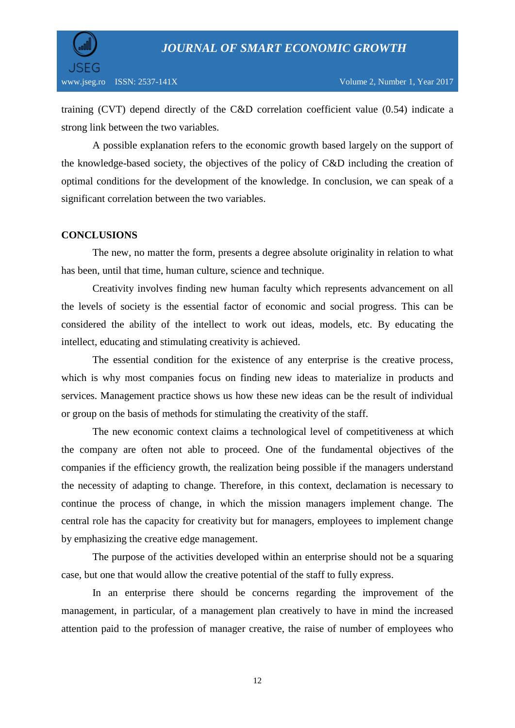

training (CVT) depend directly of the C&D correlation coefficient value (0.54) indicate a strong link between the two variables.

A possible explanation refers to the economic growth based largely on the support of the knowledge-based society, the objectives of the policy of C&D including the creation of optimal conditions for the development of the knowledge. In conclusion, we can speak of a significant correlation between the two variables.

### **CONCLUSIONS**

The new, no matter the form, presents a degree absolute originality in relation to what has been, until that time, human culture, science and technique.

Creativity involves finding new human faculty which represents advancement on all the levels of society is the essential factor of economic and social progress. This can be considered the ability of the intellect to work out ideas, models, etc. By educating the intellect, educating and stimulating creativity is achieved.

The essential condition for the existence of any enterprise is the creative process, which is why most companies focus on finding new ideas to materialize in products and services. Management practice shows us how these new ideas can be the result of individual or group on the basis of methods for stimulating the creativity of the staff.

The new economic context claims a technological level of competitiveness at which the company are often not able to proceed. One of the fundamental objectives of the companies if the efficiency growth, the realization being possible if the managers understand the necessity of adapting to change. Therefore, in this context, declamation is necessary to continue the process of change, in which the mission managers implement change. The central role has the capacity for creativity but for managers, employees to implement change by emphasizing the creative edge management.

The purpose of the activities developed within an enterprise should not be a squaring case, but one that would allow the creative potential of the staff to fully express.

In an enterprise there should be concerns regarding the improvement of the management, in particular, of a management plan creatively to have in mind the increased attention paid to the profession of manager creative, the raise of number of employees who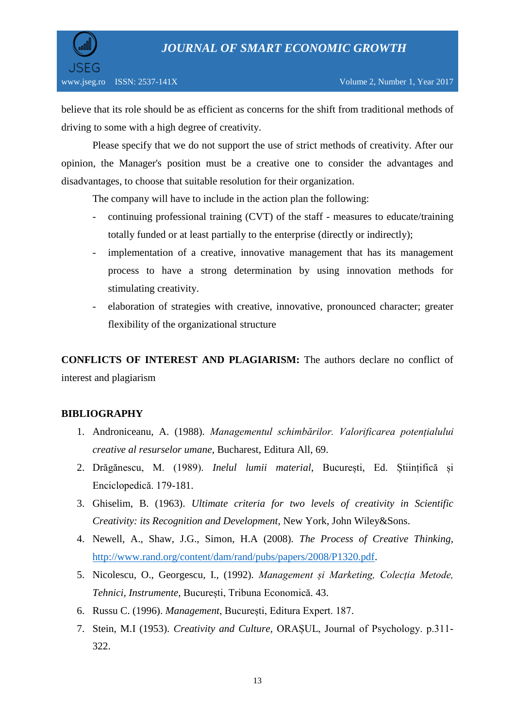

believe that its role should be as efficient as concerns for the shift from traditional methods of driving to some with a high degree of creativity.

Please specify that we do not support the use of strict methods of creativity. After our opinion, the Manager's position must be a creative one to consider the advantages and disadvantages, to choose that suitable resolution for their organization.

The company will have to include in the action plan the following:

- continuing professional training (CVT) of the staff measures to educate/training totally funded or at least partially to the enterprise (directly or indirectly);
- implementation of a creative, innovative management that has its management process to have a strong determination by using innovation methods for stimulating creativity.
- elaboration of strategies with creative, innovative, pronounced character; greater flexibility of the organizational structure

**CONFLICTS OF INTEREST AND PLAGIARISM:** The authors declare no conflict of interest and plagiarism

## **BIBLIOGRAPHY**

- 1. Androniceanu, A. (1988). *Managementul schimbărilor. Valorificarea potențialului creative al resurselor umane*, Bucharest, Editura All, 69.
- 2. Drăgănescu, M. (1989). *Inelul lumii material*, București, Ed. Științifică și Enciclopedică. 179-181.
- 3. Ghiselim, B. (1963). *Ultimate criteria for two levels of creativity in Scientific Creativity: its Recognition and Development,* New York, John Wiley&Sons.
- 4. Newell, A., Shaw, J.G., Simon, H.A (2008). *The Process of Creative Thinking,*  [http://www.rand.org/content/dam/rand/pubs/papers/2008/P1320.pdf.](http://www.rand.org/content/dam/rand/pubs/papers/2008/P1320.pdf)
- 5. Nicolescu, O., Georgescu, I., (1992). *Management și Marketing, Colecția Metode, Tehnici, Instrumente,* București, Tribuna Economică. 43.
- 6. Russu C. (1996). *Management*, București, Editura Expert. 187.
- 7. Stein, M.I (1953). *Creativity and Culture,* ORAȘUL, Journal of Psychology. p.311- 322.